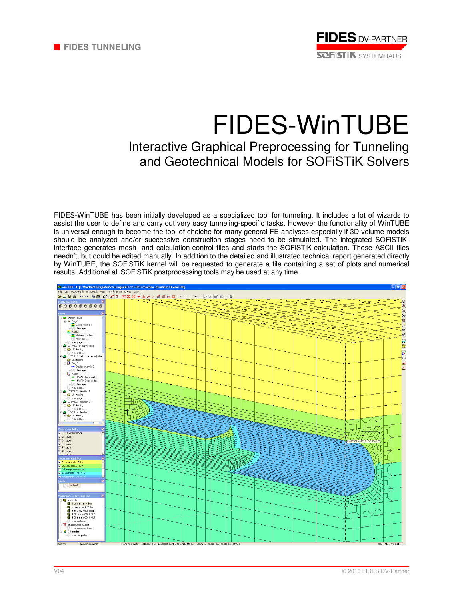

# FIDES-WinTUBE Interactive Graphical Preprocessing for Tunneling and Geotechnical Models for SOFiSTiK Solvers

FIDES-WinTUBE has been initially developed as a specialized tool for tunneling. It includes a lot of wizards to assist the user to define and carry out very easy tunneling-specific tasks. However the functionality of WinTUBE is universal enough to become the tool of choiche for many general FE-analyses especially if 3D volume models should be analyzed and/or successive construction stages need to be simulated. The integrated SOFiSTiKinterface generates mesh- and calculation-control files and starts the SOFiSTiK-calculation. These ASCII files needn't, but could be edited manually. In addition to the detailed and illustrated technical report generated directly by WinTUBE, the SOFiSTiK kernel will be requested to generate a file containing a set of plots and numerical results. Additional all SOFiSTiK postprocessing tools may be used at any time.